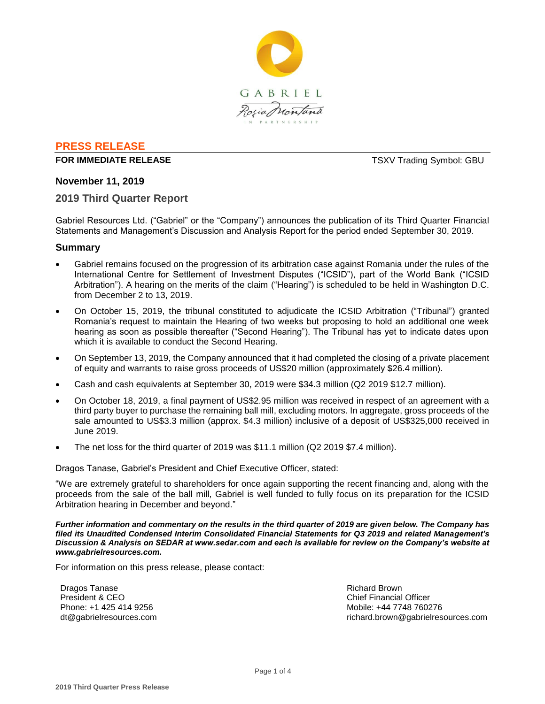

### **PRESS RELEASE**

#### **FOR IMMEDIATE RELEASE THE SECOND STATE ASSESSED ASSESSED ASSESSED AT A REPORT OF STATE AND THE SECOND STATE OF STATE AND THE SECOND STATE OF SECOND STATE AND THE SECOND STATE OF SECOND STATE AND THE SECOND STATE OF SECO**

### **November 11, 2019**

### **2019 Third Quarter Report**

Gabriel Resources Ltd. ("Gabriel" or the "Company") announces the publication of its Third Quarter Financial Statements and Management's Discussion and Analysis Report for the period ended September 30, 2019.

#### **Summary**

- Gabriel remains focused on the progression of its arbitration case against Romania under the rules of the International Centre for Settlement of Investment Disputes ("ICSID"), part of the World Bank ("ICSID Arbitration"). A hearing on the merits of the claim ("Hearing") is scheduled to be held in Washington D.C. from December 2 to 13, 2019.
- On October 15, 2019, the tribunal constituted to adjudicate the ICSID Arbitration ("Tribunal") granted Romania's request to maintain the Hearing of two weeks but proposing to hold an additional one week hearing as soon as possible thereafter ("Second Hearing"). The Tribunal has yet to indicate dates upon which it is available to conduct the Second Hearing.
- On September 13, 2019, the Company announced that it had completed the closing of a private placement of equity and warrants to raise gross proceeds of US\$20 million (approximately \$26.4 million).
- Cash and cash equivalents at September 30, 2019 were \$34.3 million (Q2 2019 \$12.7 million).
- On October 18, 2019, a final payment of US\$2.95 million was received in respect of an agreement with a third party buyer to purchase the remaining ball mill, excluding motors. In aggregate, gross proceeds of the sale amounted to US\$3.3 million (approx. \$4.3 million) inclusive of a deposit of US\$325,000 received in June 2019.
- The net loss for the third quarter of 2019 was \$11.1 million (Q2 2019 \$7.4 million).

Dragos Tanase, Gabriel's President and Chief Executive Officer, stated:

"We are extremely grateful to shareholders for once again supporting the recent financing and, along with the proceeds from the sale of the ball mill, Gabriel is well funded to fully focus on its preparation for the ICSID Arbitration hearing in December and beyond."

*Further information and commentary on the results in the third quarter of 2019 are given below. The Company has filed its Unaudited Condensed Interim Consolidated Financial Statements for Q3 2019 and related Management's Discussion & Analysis on SEDAR at www.sedar.com and each is available for review on the Company's website at www.gabrielresources.com.* 

For information on this press release, please contact:

Dragos Tanase President & CEO Phone: +1 425 414 9256 dt@gabrielresources.com Richard Brown Chief Financial Officer Mobile: +44 7748 760276 richard.brown@gabrielresources.com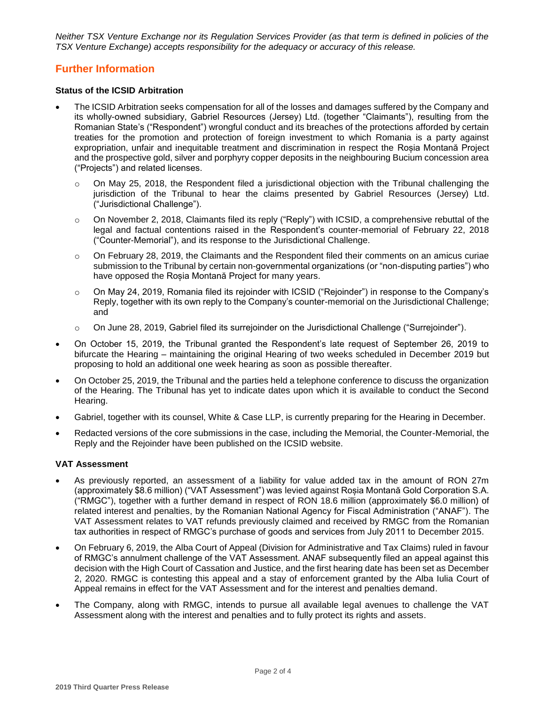*Neither TSX Venture Exchange nor its Regulation Services Provider (as that term is defined in policies of the TSX Venture Exchange) accepts responsibility for the adequacy or accuracy of this release.*

# **Further Information**

### **Status of the ICSID Arbitration**

- The ICSID Arbitration seeks compensation for all of the losses and damages suffered by the Company and its wholly-owned subsidiary, Gabriel Resources (Jersey) Ltd. (together "Claimants"), resulting from the Romanian State's ("Respondent") wrongful conduct and its breaches of the protections afforded by certain treaties for the promotion and protection of foreign investment to which Romania is a party against expropriation, unfair and inequitable treatment and discrimination in respect the Rosia Montană Project and the prospective gold, silver and porphyry copper deposits in the neighbouring Bucium concession area ("Projects") and related licenses.
	- $\circ$  On May 25, 2018, the Respondent filed a jurisdictional objection with the Tribunal challenging the jurisdiction of the Tribunal to hear the claims presented by Gabriel Resources (Jersey) Ltd. ("Jurisdictional Challenge").
	- o On November 2, 2018, Claimants filed its reply ("Reply") with ICSID, a comprehensive rebuttal of the legal and factual contentions raised in the Respondent's counter-memorial of February 22, 2018 ("Counter-Memorial"), and its response to the Jurisdictional Challenge.
	- $\circ$  On February 28, 2019, the Claimants and the Respondent filed their comments on an amicus curiae submission to the Tribunal by certain non-governmental organizations (or "non-disputing parties") who have opposed the Rosia Montană Project for many years.
	- o On May 24, 2019, Romania filed its rejoinder with ICSID ("Rejoinder") in response to the Company's Reply, together with its own reply to the Company's counter-memorial on the Jurisdictional Challenge; and
	- o On June 28, 2019, Gabriel filed its surrejoinder on the Jurisdictional Challenge ("Surrejoinder").
- On October 15, 2019, the Tribunal granted the Respondent's late request of September 26, 2019 to bifurcate the Hearing – maintaining the original Hearing of two weeks scheduled in December 2019 but proposing to hold an additional one week hearing as soon as possible thereafter.
- On October 25, 2019, the Tribunal and the parties held a telephone conference to discuss the organization of the Hearing. The Tribunal has yet to indicate dates upon which it is available to conduct the Second Hearing.
- Gabriel, together with its counsel, White & Case LLP, is currently preparing for the Hearing in December.
- Redacted versions of the core submissions in the case, including the Memorial, the Counter-Memorial, the Reply and the Rejoinder have been published on the ICSID website.

## **VAT Assessment**

- As previously reported, an assessment of a liability for value added tax in the amount of RON 27m (approximately \$8.6 million) ("VAT Assessment") was levied against Roșia Montană Gold Corporation S.A. ("RMGC"), together with a further demand in respect of RON 18.6 million (approximately \$6.0 million) of related interest and penalties, by the Romanian National Agency for Fiscal Administration ("ANAF"). The VAT Assessment relates to VAT refunds previously claimed and received by RMGC from the Romanian tax authorities in respect of RMGC's purchase of goods and services from July 2011 to December 2015.
- On February 6, 2019, the Alba Court of Appeal (Division for Administrative and Tax Claims) ruled in favour of RMGC's annulment challenge of the VAT Assessment. ANAF subsequently filed an appeal against this decision with the High Court of Cassation and Justice, and the first hearing date has been set as December 2, 2020. RMGC is contesting this appeal and a stay of enforcement granted by the Alba Iulia Court of Appeal remains in effect for the VAT Assessment and for the interest and penalties demand.
- The Company, along with RMGC, intends to pursue all available legal avenues to challenge the VAT Assessment along with the interest and penalties and to fully protect its rights and assets.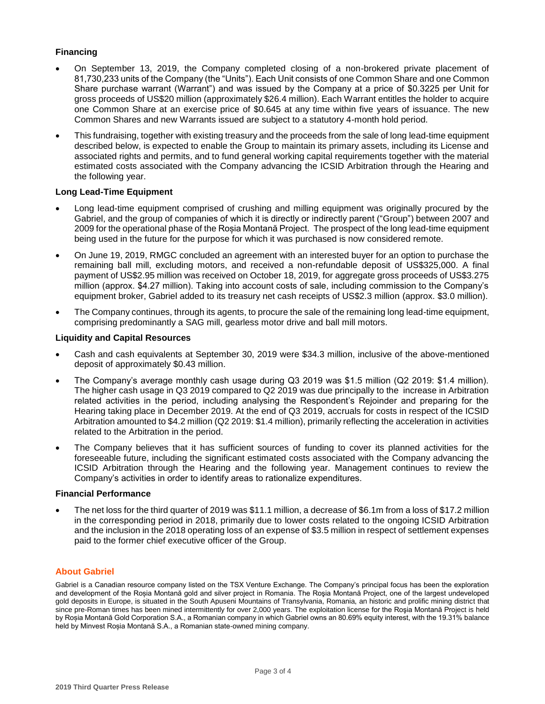### **Financing**

- On September 13, 2019, the Company completed closing of a non-brokered private placement of 81,730,233 units of the Company (the "Units"). Each Unit consists of one Common Share and one Common Share purchase warrant (Warrant") and was issued by the Company at a price of \$0.3225 per Unit for gross proceeds of US\$20 million (approximately \$26.4 million). Each Warrant entitles the holder to acquire one Common Share at an exercise price of \$0.645 at any time within five years of issuance. The new Common Shares and new Warrants issued are subject to a statutory 4-month hold period.
- This fundraising, together with existing treasury and the proceeds from the sale of long lead-time equipment described below, is expected to enable the Group to maintain its primary assets, including its License and associated rights and permits, and to fund general working capital requirements together with the material estimated costs associated with the Company advancing the ICSID Arbitration through the Hearing and the following year.

#### **Long Lead-Time Equipment**

- Long lead-time equipment comprised of crushing and milling equipment was originally procured by the Gabriel, and the group of companies of which it is directly or indirectly parent ("Group") between 2007 and 2009 for the operational phase of the Roșia Montană Project. The prospect of the long lead-time equipment being used in the future for the purpose for which it was purchased is now considered remote.
- On June 19, 2019, RMGC concluded an agreement with an interested buyer for an option to purchase the remaining ball mill, excluding motors, and received a non-refundable deposit of US\$325,000. A final payment of US\$2.95 million was received on October 18, 2019, for aggregate gross proceeds of US\$3.275 million (approx. \$4.27 million). Taking into account costs of sale, including commission to the Company's equipment broker, Gabriel added to its treasury net cash receipts of US\$2.3 million (approx. \$3.0 million).
- The Company continues, through its agents, to procure the sale of the remaining long lead-time equipment, comprising predominantly a SAG mill, gearless motor drive and ball mill motors.

#### **Liquidity and Capital Resources**

- Cash and cash equivalents at September 30, 2019 were \$34.3 million, inclusive of the above-mentioned deposit of approximately \$0.43 million.
- The Company's average monthly cash usage during Q3 2019 was \$1.5 million (Q2 2019: \$1.4 million). The higher cash usage in Q3 2019 compared to Q2 2019 was due principally to the increase in Arbitration related activities in the period, including analysing the Respondent's Rejoinder and preparing for the Hearing taking place in December 2019. At the end of Q3 2019, accruals for costs in respect of the ICSID Arbitration amounted to \$4.2 million (Q2 2019: \$1.4 million), primarily reflecting the acceleration in activities related to the Arbitration in the period.
- The Company believes that it has sufficient sources of funding to cover its planned activities for the foreseeable future, including the significant estimated costs associated with the Company advancing the ICSID Arbitration through the Hearing and the following year. Management continues to review the Company's activities in order to identify areas to rationalize expenditures.

#### **Financial Performance**

 The net loss for the third quarter of 2019 was \$11.1 million, a decrease of \$6.1m from a loss of \$17.2 million in the corresponding period in 2018, primarily due to lower costs related to the ongoing ICSID Arbitration and the inclusion in the 2018 operating loss of an expense of \$3.5 million in respect of settlement expenses paid to the former chief executive officer of the Group.

#### **About Gabriel**

Gabriel is a Canadian resource company listed on the TSX Venture Exchange. The Company's principal focus has been the exploration and development of the Roșia Montană gold and silver project in Romania. The Roşia Montană Project, one of the largest undeveloped gold deposits in Europe, is situated in the South Apuseni Mountains of Transylvania, Romania, an historic and prolific mining district that since pre-Roman times has been mined intermittently for over 2,000 years. The exploitation license for the Roşia Montană Project is held by Roșia Montană Gold Corporation S.A., a Romanian company in which Gabriel owns an 80.69% equity interest, with the 19.31% balance held by Minvest Roșia Montană S.A., a Romanian state-owned mining company.